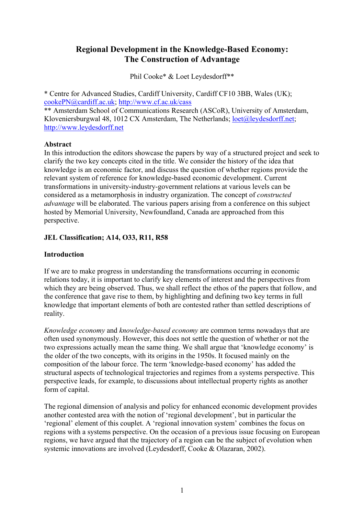# **Regional Development in the Knowledge-Based Economy: The Construction of Advantage**

Phil Cooke\* & Loet Leydesdorff\*\*

\* Centre for Advanced Studies, Cardiff University, Cardiff CF10 3BB, Wales (UK); [cookePN@cardiff.ac.uk;](mailto:cookePN@cardiff.ac.uk) <http://www.cf.ac.uk/cass>

\*\* Amsterdam School of Communications Research (ASCoR), University of Amsterdam, Kloveniersburgwal 48, 1012 CX Amsterdam, The Netherlands; [loet@leydesdorff.net;](mailto:loet@leydesdorff.net) [http://www.leydesdorff.net](http://www.leydesdorff.net/)

## **Abstract**

In this introduction the editors showcase the papers by way of a structured project and seek to clarify the two key concepts cited in the title. We consider the history of the idea that knowledge is an economic factor, and discuss the question of whether regions provide the relevant system of reference for knowledge-based economic development. Current transformations in university-industry-government relations at various levels can be considered as a metamorphosis in industry organization. The concept of *constructed advantage* will be elaborated. The various papers arising from a conference on this subject hosted by Memorial University, Newfoundland, Canada are approached from this perspective.

## **JEL Classification; A14, O33, R11, R58**

#### **Introduction**

If we are to make progress in understanding the transformations occurring in economic relations today, it is important to clarify key elements of interest and the perspectives from which they are being observed. Thus, we shall reflect the ethos of the papers that follow, and the conference that gave rise to them, by highlighting and defining two key terms in full knowledge that important elements of both are contested rather than settled descriptions of reality.

*Knowledge economy* and *knowledge-based economy* are common terms nowadays that are often used synonymously. However, this does not settle the question of whether or not the two expressions actually mean the same thing. We shall argue that 'knowledge economy' is the older of the two concepts, with its origins in the 1950s. It focused mainly on the composition of the labour force. The term 'knowledge-based economy' has added the structural aspects of technological trajectories and regimes from a systems perspective. This perspective leads, for example, to discussions about intellectual property rights as another form of capital.

The regional dimension of analysis and policy for enhanced economic development provides another contested area with the notion of 'regional development', but in particular the 'regional' element of this couplet. A 'regional innovation system' combines the focus on regions with a systems perspective. On the occasion of a previous issue focusing on European regions, we have argued that the trajectory of a region can be the subject of evolution when systemic innovations are involved (Leydesdorff, Cooke & Olazaran, 2002).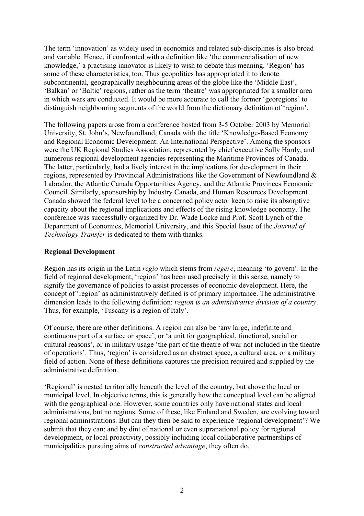The term 'innovation' as widely used in economics and related sub-disciplines is also broad and variable. Hence, if confronted with a definition like 'the commercialisation of new knowledge,' a practising innovator is likely to wish to debate this meaning. 'Region' has some of these characteristics, too. Thus geopolitics has appropriated it to denote subcontinental, geographically neighbouring areas of the globe like the 'Middle East', 'Balkan' or 'Baltic' regions, rather as the term 'theatre' was appropriated for a smaller area in which wars are conducted. It would be more accurate to call the former 'georegions' to distinguish neighbouring segments of the world from the dictionary definition of 'region'.

The following papers arose from a conference hosted from 3-5 October 2003 by Memorial University, St. John's, Newfoundland, Canada with the title 'Knowledge-Based Economy and Regional Economic Development: An International Perspective'. Among the sponsors were the UK Regional Studies Association, represented by chief executive Sally Hardy, and numerous regional development agencies representing the Maritime Provinces of Canada. The latter, particularly, had a lively interest in the implications for development in their regions, represented by Provincial Administrations like the Government of Newfoundland & Labrador, the Atlantic Canada Opportunities Agency, and the Atlantic Provinces Economic Council. Similarly, sponsorship by Industry Canada, and Human Resources Development Canada showed the federal level to be a concerned policy actor keen to raise its absorptive capacity about the regional implications and effects of the rising knowledge economy. The conference was successfully organized by Dr. Wade Locke and Prof. Scott Lynch of the Department of Economics, Memorial University, and this Special Issue of the *Journal of Technology Transfer* is dedicated to them with thanks.

## **Regional Development**

Region has its origin in the Latin *regio* which stems from *regere*, meaning 'to govern'. In the field of regional development, 'region' has been used precisely in this sense, namely to signify the governance of policies to assist processes of economic development. Here, the concept of 'region' as administratively defined is of primary importance. The administrative dimension leads to the following definition: *region is an administrative division of a country*. Thus, for example, 'Tuscany is a region of Italy'.

Of course, there are other definitions. A region can also be 'any large, indefinite and continuous part of a surface or space', or 'a unit for geographical, functional, social or cultural reasons', or in military usage 'the part of the theatre of war not included in the theatre of operations'. Thus, 'region' is considered as an abstract space, a cultural area, or a military field of action. None of these definitions captures the precision required and supplied by the administrative definition.

'Regional' is nested territorially beneath the level of the country, but above the local or municipal level. In objective terms, this is generally how the conceptual level can be aligned with the geographical one. However, some countries only have national states and local administrations, but no regions. Some of these, like Finland and Sweden, are evolving toward regional administrations. But can they then be said to experience 'regional development'? We submit that they can; and by dint of national or even supranational policy for regional development, or local proactivity, possibly including local collaborative partnerships of municipalities pursuing aims of *constructed advantage*, they often do.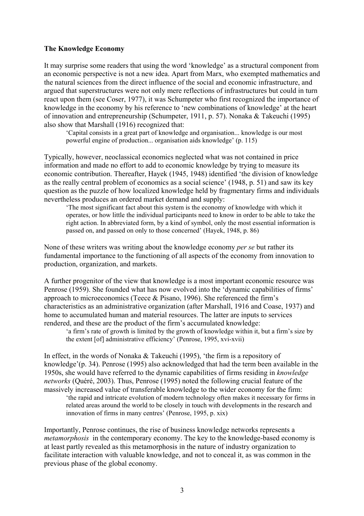## **The Knowledge Economy**

It may surprise some readers that using the word 'knowledge' as a structural component from an economic perspective is not a new idea. Apart from Marx, who exempted mathematics and the natural sciences from the direct influence of the social and economic infrastructure, and argued that superstructures were not only mere reflections of infrastructures but could in turn react upon them (see Coser, 1977), it was Schumpeter who first recognized the importance of knowledge in the economy by his reference to 'new combinations of knowledge' at the heart of innovation and entrepreneurship (Schumpeter, 1911, p. 57). Nonaka & Takeuchi (1995) also show that Marshall (1916) recognized that:

'Capital consists in a great part of knowledge and organisation... knowledge is our most powerful engine of production... organisation aids knowledge' (p. 115)

Typically, however, neoclassical economics neglected what was not contained in price information and made no effort to add to economic knowledge by trying to measure its economic contribution. Thereafter, Hayek (1945, 1948) identified 'the division of knowledge as the really central problem of economics as a social science' (1948, p. 51) and saw its key question as the puzzle of how localized knowledge held by fragmentary firms and individuals nevertheless produces an ordered market demand and supply:

'The most significant fact about this system is the economy of knowledge with which it operates, or how little the individual participants need to know in order to be able to take the right action. In abbreviated form, by a kind of symbol, only the most essential information is passed on, and passed on only to those concerned' (Hayek, 1948, p. 86)

None of these writers was writing about the knowledge economy *per se* but rather its fundamental importance to the functioning of all aspects of the economy from innovation to production, organization, and markets.

A further progenitor of the view that knowledge is a most important economic resource was Penrose (1959). She founded what has now evolved into the 'dynamic capabilities of firms' approach to microeconomics (Teece & Pisano, 1996). She referenced the firm's characteristics as an administrative organization (after Marshall, 1916 and Coase, 1937) and home to accumulated human and material resources. The latter are inputs to services rendered, and these are the product of the firm's accumulated knowledge:

'a firm's rate of growth is limited by the growth of knowledge within it, but a firm's size by the extent [of] administrative efficiency' (Penrose, 1995, xvi-xvii)

In effect, in the words of Nonaka & Takeuchi (1995), 'the firm is a repository of knowledge'(p. 34). Penrose (1995) also acknowledged that had the term been available in the 1950s, she would have referred to the dynamic capabilities of firms residing in *knowledge networks* (Quéré, 2003). Thus, Penrose (1995) noted the following crucial feature of the massively increased value of transferable knowledge to the wider economy for the firm:

'the rapid and intricate evolution of modern technology often makes it necessary for firms in related areas around the world to be closely in touch with developments in the research and innovation of firms in many centres' (Penrose, 1995, p. xix)

Importantly, Penrose continues, the rise of business knowledge networks represents a *metamorphosis* in the contemporary economy. The key to the knowledge-based economy is at least partly revealed as this metamorphosis in the nature of industry organization to facilitate interaction with valuable knowledge, and not to conceal it, as was common in the previous phase of the global economy.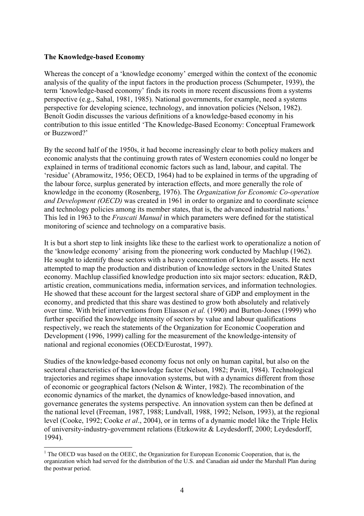#### **The Knowledge-based Economy**

 $\overline{a}$ 

Whereas the concept of a 'knowledge economy' emerged within the context of the economic analysis of the quality of the input factors in the production process (Schumpeter, 1939), the term 'knowledge-based economy' finds its roots in more recent discussions from a systems perspective (e.g., Sahal, 1981, 1985). National governments, for example, need a systems perspective for developing science, technology, and innovation policies (Nelson, 1982). Benoît Godin discusses the various definitions of a knowledge-based economy in his contribution to this issue entitled 'The Knowledge-Based Economy: Conceptual Framework or Buzzword?'

By the second half of the 1950s, it had become increasingly clear to both policy makers and economic analysts that the continuing growth rates of Western economies could no longer be explained in terms of traditional economic factors such as land, labour, and capital. The 'residue' (Abramowitz, 1956; OECD, 1964) had to be explained in terms of the upgrading of the labour force, surplus generated by interaction effects, and more generally the role of knowledge in the economy (Rosenberg, 1976). The *Organization for Economic Co-operation and Development (OECD)* was created in 1961 in order to organize and to coordinate science and technology policies among its member states, that is, the advanced industrial nations.<sup>[1](#page-3-0)</sup> This led in 1963 to the *Frascati Manual* in which parameters were defined for the statistical monitoring of science and technology on a comparative basis.

It is but a short step to link insights like these to the earliest work to operationalize a notion of the 'knowledge economy' arising from the pioneering work conducted by Machlup (1962). He sought to identify those sectors with a heavy concentration of knowledge assets. He next attempted to map the production and distribution of knowledge sectors in the United States economy. Machlup classified knowledge production into six major sectors: education, R&D, artistic creation, communications media, information services, and information technologies. He showed that these account for the largest sectoral share of GDP and employment in the economy, and predicted that this share was destined to grow both absolutely and relatively over time. With brief interventions from Eliasson *et al.* (1990) and Burton-Jones (1999) who further specified the knowledge intensity of sectors by value and labour qualifications respectively, we reach the statements of the Organization for Economic Cooperation and Development (1996, 1999) calling for the measurement of the knowledge-intensity of national and regional economies (OECD/Eurostat, 1997).

Studies of the knowledge-based economy focus not only on human capital, but also on the sectoral characteristics of the knowledge factor (Nelson, 1982; Pavitt, 1984). Technological trajectories and regimes shape innovation systems, but with a dynamics different from those of economic or geographical factors (Nelson & Winter, 1982). The recombination of the economic dynamics of the market, the dynamics of knowledge-based innovation, and governance generates the systems perspective. An innovation system can then be defined at the national level (Freeman, 1987, 1988; Lundvall, 1988, 1992; Nelson, 1993), at the regional level (Cooke, 1992; Cooke *et al*., 2004), or in terms of a dynamic model like the Triple Helix of university-industry-government relations (Etzkowitz & Leydesdorff, 2000; Leydesdorff, 1994).

<span id="page-3-0"></span><sup>&</sup>lt;sup>1</sup> The OECD was based on the OEEC, the Organization for European Economic Cooperation, that is, the organization which had served for the distribution of the U.S. and Canadian aid under the Marshall Plan during the postwar period.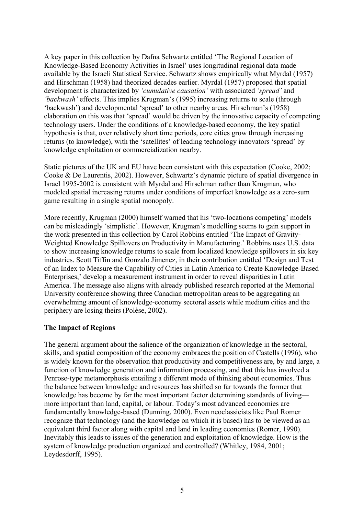A key paper in this collection by Dafna Schwartz entitled 'The Regional Location of Knowledge-Based Economy Activities in Israel' uses longitudinal regional data made available by the Israeli Statistical Service. Schwartz shows empirically what Myrdal (1957) and Hirschman (1958) had theorized decades earlier. Myrdal (1957) proposed that spatial development is characterized by *'cumulative causation'* with associated *'spread'* and *'backwash'* effects. This implies Krugman's (1995) increasing returns to scale (through 'backwash') and developmental 'spread' to other nearby areas. Hirschman's (1958) elaboration on this was that 'spread' would be driven by the innovative capacity of competing technology users. Under the conditions of a knowledge-based economy, the key spatial hypothesis is that, over relatively short time periods, core cities grow through increasing returns (to knowledge), with the 'satellites' of leading technology innovators 'spread' by knowledge exploitation or commercialization nearby.

Static pictures of the UK and EU have been consistent with this expectation (Cooke, 2002; Cooke & De Laurentis, 2002). However, Schwartz's dynamic picture of spatial divergence in Israel 1995-2002 is consistent with Myrdal and Hirschman rather than Krugman, who modeled spatial increasing returns under conditions of imperfect knowledge as a zero-sum game resulting in a single spatial monopoly.

More recently, Krugman (2000) himself warned that his 'two-locations competing' models can be misleadingly 'simplistic'. However, Krugman's modelling seems to gain support in the work presented in this collection by Carol Robbins entitled 'The Impact of Gravity-Weighted Knowledge Spillovers on Productivity in Manufacturing.' Robbins uses U.S. data to show increasing knowledge returns to scale from localized knowledge spillovers in six key industries. Scott Tiffin and Gonzalo Jimenez, in their contribution entitled 'Design and Test of an Index to Measure the Capability of Cities in Latin America to Create Knowledge-Based Enterprises,' develop a measurement instrument in order to reveal disparities in Latin America. The message also aligns with already published research reported at the Memorial University conference showing three Canadian metropolitan areas to be aggregating an overwhelming amount of knowledge-economy sectoral assets while medium cities and the periphery are losing theirs (Polèse, 2002).

#### **The Impact of Regions**

The general argument about the salience of the organization of knowledge in the sectoral, skills, and spatial composition of the economy embraces the position of Castells (1996), who is widely known for the observation that productivity and competitiveness are, by and large, a function of knowledge generation and information processing, and that this has involved a Penrose-type metamorphosis entailing a different mode of thinking about economies. Thus the balance between knowledge and resources has shifted so far towards the former that knowledge has become by far the most important factor determining standards of living more important than land, capital, or labour. Today's most advanced economies are fundamentally knowledge-based (Dunning, 2000). Even neoclassicists like Paul Romer recognize that technology (and the knowledge on which it is based) has to be viewed as an equivalent third factor along with capital and land in leading economies (Romer, 1990). Inevitably this leads to issues of the generation and exploitation of knowledge. How is the system of knowledge production organized and controlled? (Whitley, 1984, 2001; Leydesdorff, 1995).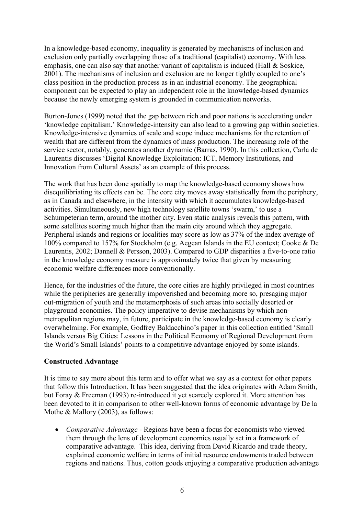In a knowledge-based economy, inequality is generated by mechanisms of inclusion and exclusion only partially overlapping those of a traditional (capitalist) economy. With less emphasis, one can also say that another variant of capitalism is induced (Hall & Soskice, 2001). The mechanisms of inclusion and exclusion are no longer tightly coupled to one's class position in the production process as in an industrial economy. The geographical component can be expected to play an independent role in the knowledge-based dynamics because the newly emerging system is grounded in communication networks.

Burton-Jones (1999) noted that the gap between rich and poor nations is accelerating under 'knowledge capitalism.' Knowledge-intensity can also lead to a growing gap within societies. Knowledge-intensive dynamics of scale and scope induce mechanisms for the retention of wealth that are different from the dynamics of mass production. The increasing role of the service sector, notably, generates another dynamic (Barras, 1990). In this collection, Carla de Laurentis discusses 'Digital Knowledge Exploitation: ICT, Memory Institutions, and Innovation from Cultural Assets' as an example of this process.

The work that has been done spatially to map the knowledge-based economy shows how disequilibriating its effects can be. The core city moves away statistically from the periphery, as in Canada and elsewhere, in the intensity with which it accumulates knowledge-based activities. Simultaneously, new high technology satellite towns 'swarm,' to use a Schumpeterian term, around the mother city. Even static analysis reveals this pattern, with some satellites scoring much higher than the main city around which they aggregate. Peripheral islands and regions or localities may score as low as 37% of the index average of 100% compared to 157% for Stockholm (e.g. Aegean Islands in the EU context; Cooke & De Laurentis, 2002; Dannell & Persson, 2003). Compared to GDP disparities a five-to-one ratio in the knowledge economy measure is approximately twice that given by measuring economic welfare differences more conventionally.

Hence, for the industries of the future, the core cities are highly privileged in most countries while the peripheries are generally impoverished and becoming more so, presaging major out-migration of youth and the metamorphosis of such areas into socially deserted or playground economies. The policy imperative to devise mechanisms by which nonmetropolitan regions may, in future, participate in the knowledge-based economy is clearly overwhelming. For example, Godfrey Baldacchino's paper in this collection entitled 'Small Islands versus Big Cities: Lessons in the Political Economy of Regional Development from the World's Small Islands' points to a competitive advantage enjoyed by some islands.

#### **Constructed Advantage**

It is time to say more about this term and to offer what we say as a context for other papers that follow this Introduction. It has been suggested that the idea originates with Adam Smith, but Foray & Freeman (1993) re-introduced it yet scarcely explored it. More attention has been devoted to it in comparison to other well-known forms of economic advantage by De la Mothe & Mallory (2003), as follows:

• *Comparative Advantage* - Regions have been a focus for economists who viewed them through the lens of development economics usually set in a framework of comparative advantage. This idea, deriving from David Ricardo and trade theory, explained economic welfare in terms of initial resource endowments traded between regions and nations. Thus, cotton goods enjoying a comparative production advantage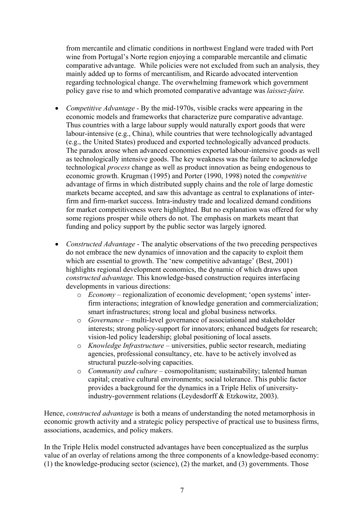from mercantile and climatic conditions in northwest England were traded with Port wine from Portugal's Norte region enjoying a comparable mercantile and climatic comparative advantage. While policies were not excluded from such an analysis, they mainly added up to forms of mercantilism, and Ricardo advocated intervention regarding technological change. The overwhelming framework which government policy gave rise to and which promoted comparative advantage was *laissez-faire.*

- *Competitive Advantage* By the mid-1970s, visible cracks were appearing in the economic models and frameworks that characterize pure comparative advantage. Thus countries with a large labour supply would naturally export goods that were labour-intensive (e.g., China), while countries that were technologically advantaged (e.g., the United States) produced and exported technologically advanced products. The paradox arose when advanced economies exported labour-intensive goods as well as technologically intensive goods. The key weakness was the failure to acknowledge technological *process* change as well as product innovation as being endogenous to economic growth. Krugman (1995) and Porter (1990, 1998) noted the *competitive* advantage of firms in which distributed supply chains and the role of large domestic markets became accepted, and saw this advantage as central to explanations of interfirm and firm-market success. Intra-industry trade and localized demand conditions for market competitiveness were highlighted. But no explanation was offered for why some regions prosper while others do not. The emphasis on markets meant that funding and policy support by the public sector was largely ignored.
- *Constructed Advantage* The analytic observations of the two preceding perspectives do not embrace the new dynamics of innovation and the capacity to exploit them which are essential to growth. The 'new competitive advantage' (Best, 2001) highlights regional development economics, the dynamic of which draws upon *constructed advantage.* This knowledge-based construction requires interfacing developments in various directions:
	- o *Economy* regionalization of economic development; 'open systems' interfirm interactions; integration of knowledge generation and commercialization; smart infrastructures; strong local and global business networks.
	- o *Governance* multi-level governance of associational and stakeholder interests; strong policy-support for innovators; enhanced budgets for research; vision-led policy leadership; global positioning of local assets.
	- o *Knowledge Infrastructure* universities, public sector research, mediating agencies, professional consultancy, etc. have to be actively involved as structural puzzle-solving capacities.
	- o *Community and culture –* cosmopolitanism; sustainability; talented human capital; creative cultural environments; social tolerance. This public factor provides a background for the dynamics in a Triple Helix of universityindustry-government relations (Leydesdorff & Etzkowitz, 2003).

Hence, *constructed advantage* is both a means of understanding the noted metamorphosis in economic growth activity and a strategic policy perspective of practical use to business firms, associations, academics, and policy makers.

In the Triple Helix model constructed advantages have been conceptualized as the surplus value of an overlay of relations among the three components of a knowledge-based economy: (1) the knowledge-producing sector (science), (2) the market, and (3) governments. Those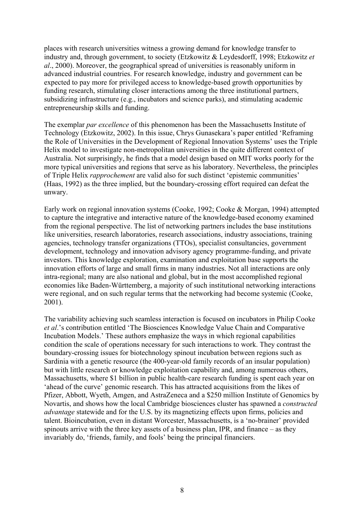places with research universities witness a growing demand for knowledge transfer to industry and, through government, to society (Etzkowitz & Leydesdorff, 1998; Etzkowitz *et al*., 2000). Moreover, the geographical spread of universities is reasonably uniform in advanced industrial countries. For research knowledge, industry and government can be expected to pay more for privileged access to knowledge-based growth opportunities by funding research, stimulating closer interactions among the three institutional partners, subsidizing infrastructure (e.g., incubators and science parks), and stimulating academic entrepreneurship skills and funding.

The exemplar *par excellence* of this phenomenon has been the Massachusetts Institute of Technology (Etzkowitz, 2002). In this issue, Chrys Gunasekara's paper entitled 'Reframing the Role of Universities in the Development of Regional Innovation Systems' uses the Triple Helix model to investigate non-metropolitan universities in the quite different context of Australia. Not surprisingly, he finds that a model design based on MIT works poorly for the more typical universities and regions that serve as his laboratory. Nevertheless, the principles of Triple Helix *rapprochement* are valid also for such distinct 'epistemic communities' (Haas, 1992) as the three implied, but the boundary-crossing effort required can defeat the unwary.

Early work on regional innovation systems (Cooke, 1992; Cooke & Morgan, 1994) attempted to capture the integrative and interactive nature of the knowledge-based economy examined from the regional perspective. The list of networking partners includes the base institutions like universities, research laboratories, research associations, industry associations, training agencies, technology transfer organizations (TTOs), specialist consultancies, government development, technology and innovation advisory agency programme-funding, and private investors. This knowledge exploration, examination and exploitation base supports the innovation efforts of large and small firms in many industries. Not all interactions are only intra-regional; many are also national and global, but in the most accomplished regional economies like Baden-Württemberg, a majority of such institutional networking interactions were regional, and on such regular terms that the networking had become systemic (Cooke, 2001).

The variability achieving such seamless interaction is focused on incubators in Philip Cooke *et al*.'s contribution entitled 'The Biosciences Knowledge Value Chain and Comparative Incubation Models.' These authors emphasize the ways in which regional capabilities condition the scale of operations necessary for such interactions to work. They contrast the boundary-crossing issues for biotechnology spinout incubation between regions such as Sardinia with a genetic resource (the 400-year-old family records of an insular population) but with little research or knowledge exploitation capability and, among numerous others, Massachusetts, where \$1 billion in public health-care research funding is spent each year on 'ahead of the curve' genomic research. This has attracted acquisitions from the likes of Pfizer, Abbott, Wyeth, Amgen, and AstraZeneca and a \$250 million Institute of Genomics by Novartis, and shows how the local Cambridge biosciences cluster has spawned a *constructed advantage* statewide and for the U.S. by its magnetizing effects upon firms, policies and talent. Bioincubation, even in distant Worcester, Massachusetts, is a 'no-brainer' provided spinouts arrive with the three key assets of a business plan, IPR, and finance – as they invariably do, 'friends, family, and fools' being the principal financiers.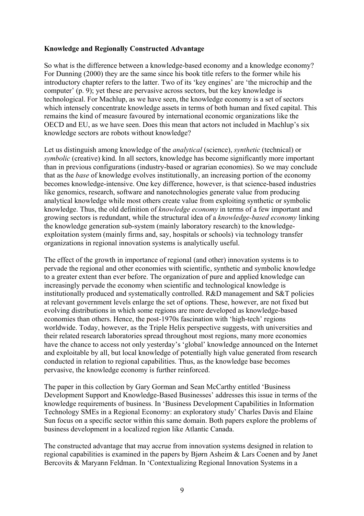## **Knowledge and Regionally Constructed Advantage**

So what is the difference between a knowledge-based economy and a knowledge economy? For Dunning (2000) they are the same since his book title refers to the former while his introductory chapter refers to the latter. Two of its 'key engines' are 'the microchip and the computer' (p. 9); yet these are pervasive across sectors, but the key knowledge is technological. For Machlup, as we have seen, the knowledge economy is a set of sectors which intensely concentrate knowledge assets in terms of both human and fixed capital. This remains the kind of measure favoured by international economic organizations like the OECD and EU, as we have seen. Does this mean that actors not included in Machlup's six knowledge sectors are robots without knowledge?

Let us distinguish among knowledge of the *analytical* (science), *synthetic* (technical) or *symbolic* (creative) kind. In all sectors, knowledge has become significantly more important than in previous configurations (industry-based or agrarian economies). So we may conclude that as the *base* of knowledge evolves institutionally, an increasing portion of the economy becomes knowledge-intensive. One key difference, however, is that science-based industries like genomics, research, software and nanotechnologies generate value from producing analytical knowledge while most others create value from exploiting synthetic or symbolic knowledge. Thus, the old definition of *knowledge economy* in terms of a few important and growing sectors is redundant, while the structural idea of a *knowledge-based economy* linking the knowledge generation sub-system (mainly laboratory research) to the knowledgeexploitation system (mainly firms and, say, hospitals or schools) via technology transfer organizations in regional innovation systems is analytically useful.

The effect of the growth in importance of regional (and other) innovation systems is to pervade the regional and other economies with scientific, synthetic and symbolic knowledge to a greater extent than ever before. The organization of pure and applied knowledge can increasingly pervade the economy when scientific and technological knowledge is institutionally produced and systematically controlled. R&D management and S&T policies at relevant government levels enlarge the set of options. These, however, are not fixed but evolving distributions in which some regions are more developed as knowledge-based economies than others. Hence, the post-1970s fascination with 'high-tech' regions worldwide. Today, however, as the Triple Helix perspective suggests, with universities and their related research laboratories spread throughout most regions, many more economies have the chance to access not only yesterday's 'global' knowledge announced on the Internet and exploitable by all, but local knowledge of potentially high value generated from research conducted in relation to regional capabilities. Thus, as the knowledge base becomes pervasive, the knowledge economy is further reinforced.

The paper in this collection by Gary Gorman and Sean McCarthy entitled 'Business Development Support and Knowledge-Based Businesses' addresses this issue in terms of the knowledge requirements of business. In 'Business Development Capabilities in Information Technology SMEs in a Regional Economy: an exploratory study' Charles Davis and Elaine Sun focus on a specific sector within this same domain. Both papers explore the problems of business development in a localized region like Atlantic Canada.

The constructed advantage that may accrue from innovation systems designed in relation to regional capabilities is examined in the papers by Bjørn Asheim & Lars Coenen and by Janet Bercovits & Maryann Feldman. In 'Contextualizing Regional Innovation Systems in a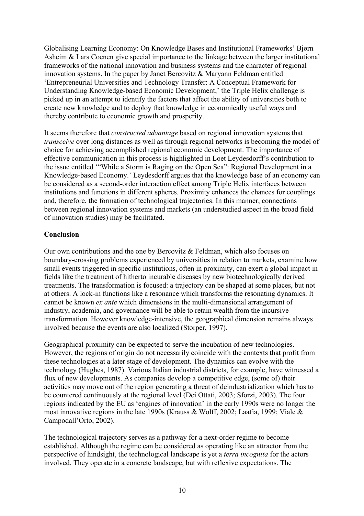Globalising Learning Economy: On Knowledge Bases and Institutional Frameworks' Bjørn Asheim & Lars Coenen give special importance to the linkage between the larger institutional frameworks of the national innovation and business systems and the character of regional innovation systems. In the paper by Janet Bercovitz & Maryann Feldman entitled 'Entrepreneurial Universities and Technology Transfer: A Conceptual Framework for Understanding Knowledge-based Economic Development,' the Triple Helix challenge is picked up in an attempt to identify the factors that affect the ability of universities both to create new knowledge and to deploy that knowledge in economically useful ways and thereby contribute to economic growth and prosperity.

It seems therefore that *constructed advantage* based on regional innovation systems that *transceive* over long distances as well as through regional networks is becoming the model of choice for achieving accomplished regional economic development. The importance of effective communication in this process is highlighted in Loet Leydesdorff's contribution to the issue entitled '"While a Storm is Raging on the Open Sea": Regional Development in a Knowledge-based Economy.' Leydesdorff argues that the knowledge base of an economy can be considered as a second-order interaction effect among Triple Helix interfaces between institutions and functions in different spheres. Proximity enhances the chances for couplings and, therefore, the formation of technological trajectories. In this manner, connections between regional innovation systems and markets (an understudied aspect in the broad field of innovation studies) may be facilitated.

## **Conclusion**

Our own contributions and the one by Bercovitz & Feldman, which also focuses on boundary-crossing problems experienced by universities in relation to markets, examine how small events triggered in specific institutions, often in proximity, can exert a global impact in fields like the treatment of hitherto incurable diseases by new biotechnologically derived treatments. The transformation is focused: a trajectory can be shaped at some places, but not at others. A lock-in functions like a resonance which transforms the resonating dynamics. It cannot be known *ex ante* which dimensions in the multi-dimensional arrangement of industry, academia, and governance will be able to retain wealth from the incursive transformation. However knowledge-intensive, the geographical dimension remains always involved because the events are also localized (Storper, 1997).

Geographical proximity can be expected to serve the incubation of new technologies. However, the regions of origin do not necessarily coincide with the contexts that profit from these technologies at a later stage of development. The dynamics can evolve with the technology (Hughes, 1987). Various Italian industrial districts, for example, have witnessed a flux of new developments. As companies develop a competitive edge, (some of) their activities may move out of the region generating a threat of deindustrialization which has to be countered continuously at the regional level (Dei Ottati, 2003; Sforzi, 2003). The four regions indicated by the EU as 'engines of innovation' in the early 1990s were no longer the most innovative regions in the late 1990s (Krauss & Wolff, 2002; Laafia, 1999; Viale & Campodall'Orto, 2002).

The technological trajectory serves as a pathway for a next-order regime to become established. Although the regime can be considered as operating like an attractor from the perspective of hindsight, the technological landscape is yet a *terra incognita* for the actors involved. They operate in a concrete landscape, but with reflexive expectations. The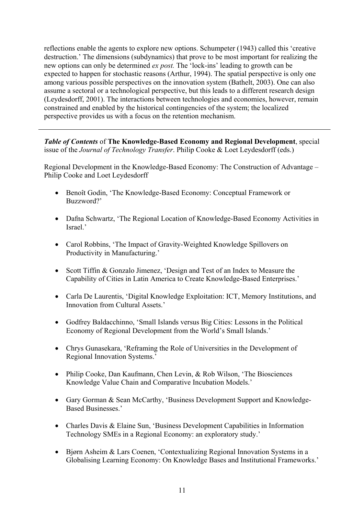reflections enable the agents to explore new options. Schumpeter (1943) called this 'creative destruction.' The dimensions (subdynamics) that prove to be most important for realizing the new options can only be determined *ex post.* The 'lock-ins' leading to growth can be expected to happen for stochastic reasons (Arthur, 1994). The spatial perspective is only one among various possible perspectives on the innovation system (Bathelt, 2003). One can also assume a sectoral or a technological perspective, but this leads to a different research design (Leydesdorff, 2001). The interactions between technologies and economies, however, remain constrained and enabled by the historical contingencies of the system; the localized perspective provides us with a focus on the retention mechanism.

*Table of Contents* of **The Knowledge-Based Economy and Regional Development**, special issue of the *Journal of Technology Transfer*. Philip Cooke & Loet Leydesdorff (eds.)

Regional Development in the Knowledge-Based Economy: The Construction of Advantage – Philip Cooke and Loet Leydesdorff

- Benoît Godin, 'The Knowledge-Based Economy: Conceptual Framework or Buzzword?'
- Dafna Schwartz, 'The Regional Location of Knowledge-Based Economy Activities in Israel.'
- Carol Robbins, 'The Impact of Gravity-Weighted Knowledge Spillovers on Productivity in Manufacturing.'
- Scott Tiffin & Gonzalo Jimenez, 'Design and Test of an Index to Measure the Capability of Cities in Latin America to Create Knowledge-Based Enterprises.'
- Carla De Laurentis, 'Digital Knowledge Exploitation: ICT, Memory Institutions, and Innovation from Cultural Assets.'
- Godfrey Baldacchinno, 'Small Islands versus Big Cities: Lessons in the Political Economy of Regional Development from the World's Small Islands.'
- Chrys Gunasekara, 'Reframing the Role of Universities in the Development of Regional Innovation Systems.'
- Philip Cooke, Dan Kaufmann, Chen Levin, & Rob Wilson, 'The Biosciences' Knowledge Value Chain and Comparative Incubation Models.'
- Gary Gorman & Sean McCarthy, 'Business Development Support and Knowledge-Based Businesses.'
- Charles Davis & Elaine Sun, 'Business Development Capabilities in Information Technology SMEs in a Regional Economy: an exploratory study.'
- Bjørn Asheim & Lars Coenen, 'Contextualizing Regional Innovation Systems in a Globalising Learning Economy: On Knowledge Bases and Institutional Frameworks.'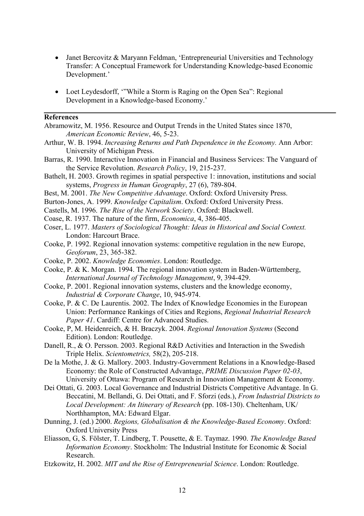- Janet Bercovitz & Maryann Feldman, 'Entrepreneurial Universities and Technology Transfer: A Conceptual Framework for Understanding Knowledge-based Economic Development.'
- Loet Leydesdorff, "While a Storm is Raging on the Open Sea": Regional Development in a Knowledge-based Economy.'

#### **References**

- Abramowitz, M. 1956. Resource and Output Trends in the United States since 1870, *American Economic Review*, 46, 5-23.
- Arthur, W. B. 1994. *Increasing Returns and Path Dependence in the Economy.* Ann Arbor: University of Michigan Press.
- Barras, R. 1990. Interactive Innovation in Financial and Business Services: The Vanguard of the Service Revolution. *Research Policy*, 19, 215-237.
- Bathelt, H. 2003. Growth regimes in spatial perspective 1: innovation, institutions and social systems, *Progress in Human Geography*, 27 (6), 789-804.
- Best, M. 2001. *The New Competitive Advantage*. Oxford: Oxford University Press.
- Burton-Jones, A. 1999. *Knowledge Capitalism*. Oxford: Oxford University Press.
- Castells, M. 1996. *The Rise of the Network Society*. Oxford: Blackwell.
- Coase, R. 1937. The nature of the firm, *Economica*, 4, 386-405.
- Coser, L. 1977. *Masters of Sociological Thought: Ideas in Historical and Social Context.* London: Harcourt Brace.
- Cooke, P. 1992. Regional innovation systems: competitive regulation in the new Europe, *Geoforum*, 23, 365-382.
- Cooke, P. 2002. *Knowledge Economies*. London: Routledge.
- Cooke, P. & K. Morgan. 1994. The regional innovation system in Baden-Württemberg, *International Journal of Technology Management*, 9, 394-429.
- Cooke, P. 2001. Regional innovation systems, clusters and the knowledge economy, *Industrial & Corporate Change*, 10, 945-974.
- Cooke, P. & C. De Laurentis. 2002. The Index of Knowledge Economies in the European Union: Performance Rankings of Cities and Regions, *Regional Industrial Research Paper 41*. Cardiff: Centre for Advanced Studies.
- Cooke, P, M. Heidenreich, & H. Braczyk. 2004. *Regional Innovation Systems* (Second Edition). London: Routledge.
- Danell, R., & O. Persson. 2003. Regional R&D Activities and Interaction in the Swedish Triple Helix. *Scientometrics,* 58(2), 205-218.
- De la Mothe, J. & G. Mallory. 2003. Industry-Government Relations in a Knowledge-Based Economy: the Role of Constructed Advantage, *PRIME Discussion Paper 02-03*, University of Ottawa: Program of Research in Innovation Management & Economy.
- Dei Ottati, G. 2003. Local Governance and Industrial Districts Competitive Advantage. In G. Beccatini, M. Bellandi, G. Dei Ottati, and F. Sforzi (eds.), *From Industrial Districts to Local Development: An Itinerary of Research* (pp. 108-130). Cheltenham, UK/ Northhampton, MA: Edward Elgar.
- Dunning, J. (ed.) 2000. *Regions, Globalisation & the Knowledge-Based Economy*. Oxford: Oxford University Press
- Eliasson, G, S. Fölster, T. Lindberg, T. Pousette, & E. Taymaz. 1990. *The Knowledge Based Information Economy*. Stockholm: The Industrial Institute for Economic & Social Research.
- Etzkowitz, H. 2002. *MIT and the Rise of Entrepreneurial Science*. London: Routledge.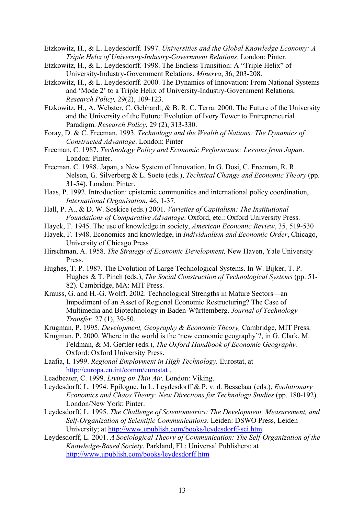Etzkowitz, H., & L. Leydesdorff. 1997. *Universities and the Global Knowledge Economy: A Triple Helix of University-Industry-Government Relations*. London: Pinter.

- Etzkowitz, H., & L. Leydesdorff. 1998. The Endless Transition: A "Triple Helix" of University-Industry-Government Relations. *Minerva*, 36, 203-208.
- Etzkowitz, H., & L. Leydesdorff. 2000. The Dynamics of Innovation: From National Systems and 'Mode 2' to a Triple Helix of University-Industry-Government Relations, *Research Policy,* 29(2), 109-123.

Etzkowitz, H., A. Webster, C. Gebhardt, & B. R. C. Terra. 2000. The Future of the University and the University of the Future: Evolution of Ivory Tower to Entrepreneurial Paradigm. *Research Policy*, 29 (2), 313-330.

- Foray, D. & C. Freeman. 1993. *Technology and the Wealth of Nations: The Dynamics of Constructed Advantage*. London: Pinter
- Freeman, C. 1987. *Technology Policy and Economic Performance: Lessons from Japan*. London: Pinter.
- Freeman, C. 1988. Japan, a New System of Innovation. In G. Dosi, C. Freeman, R. R. Nelson, G. Silverberg & L. Soete (eds.), *Technical Change and Economic Theory* (pp. 31-54). London: Pinter.
- Haas, P. 1992. Introduction: epistemic communities and international policy coordination, *International Organisation*, 46, 1-37.
- Hall, P. A., & D. W. Soskice (eds.) 2001. *Varieties of Capitalism: The Institutional Foundations of Comparative Advantage*. Oxford, etc.: Oxford University Press.
- Hayek, F. 1945. The use of knowledge in society, *American Economic Review*, 35, 519-530
- Hayek, F. 1948. Economics and knowledge, in *Individualism and Economic Order*, Chicago, University of Chicago Press
- Hirschman, A. 1958. *The Strategy of Economic Development,* New Haven, Yale University Press.
- Hughes, T. P. 1987. The Evolution of Large Technological Systems. In W. Bijker, T. P. Hughes & T. Pinch (eds.), *The Social Construction of Technological Systems* (pp. 51-82). Cambridge, MA: MIT Press.
- Krauss, G. and H.-G. Wolff. 2002. Technological Strengths in Mature Sectors—an Impediment of an Asset of Regional Economic Restructuring? The Case of Multimedia and Biotechnology in Baden-Württemberg. *Journal of Technology Transfer,* 27 (1), 39-50.
- Krugman, P. 1995. *Development, Geography & Economic Theory,* Cambridge, MIT Press.
- Krugman, P. 2000. Where in the world is the 'new economic geography'?, in G. Clark, M. Feldman, & M. Gertler (eds.), *The Oxford Handbook of Economic Geography.*  Oxford: Oxford University Press.
- Laafia, I. 1999. *Regional Employment in High Technology.* Eurostat, at <http://europa.eu.int/comm/eurostat> .
- Leadbeater, C. 1999. *Living on Thin Air*. London: Viking.
- Leydesdorff, L. 1994. Epilogue. In L. Leydesdorff & P. v. d. Besselaar (eds.), *Evolutionary Economics and Chaos Theory: New Directions for Technology Studies* (pp. 180-192). London/New York: Pinter.
- Leydesdorff, L. 1995. *The Challenge of Scientometrics: The Development, Measurement, and Self-Organization of Scientific Communications*. Leiden: DSWO Press, Leiden University; at <http://www.upublish.com/books/leydesdorff-sci.htm>.
- Leydesdorff, L. 2001. *A Sociological Theory of Communication: The Self-Organization of the Knowledge-Based Society*. Parkland, FL: Universal Publishers; at <http://www.upublish.com/books/leydesdorff.htm>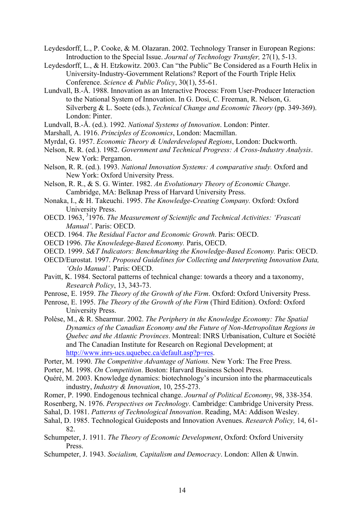- Leydesdorff, L., P. Cooke, & M. Olazaran. 2002. Technology Transer in European Regions: Introduction to the Special Issue. *Journal of Technology Transfer,* 27(1), 5-13.
- Leydesdorff, L., & H. Etzkowitz. 2003. Can "the Public" Be Considered as a Fourth Helix in University-Industry-Government Relations? Report of the Fourth Triple Helix Conference. *Science & Public Policy*, 30(1), 55-61.
- Lundvall, B.-Å. 1988. Innovation as an Interactive Process: From User-Producer Interaction to the National System of Innovation. In G. Dosi, C. Freeman, R. Nelson, G. Silverberg & L. Soete (eds.), *Technical Change and Economic Theory* (pp. 349-369). London: Pinter.
- Lundvall, B.-Å. (ed.). 1992. *National Systems of Innovation*. London: Pinter.
- Marshall, A. 1916. *Principles of Economics*, London: Macmillan.
- Myrdal, G. 1957. *Economic Theory & Underdeveloped Regions*, London: Duckworth.
- Nelson, R. R. (ed.). 1982. *Government and Technical Progress: A Cross-Industry Analysis*. New York: Pergamon.
- Nelson, R. R. (ed.). 1993. *National Innovation Systems: A comparative study.* Oxford and New York: Oxford University Press.
- Nelson, R. R., & S. G. Winter. 1982. *An Evolutionary Theory of Economic Change*. Cambridge, MA: Belknap Press of Harvard University Press.
- Nonaka, I., & H. Takeuchi. 1995. *The Knowledge-Creating Company.* Oxford: Oxford University Press.
- OECD. 1963, <sup>3</sup> 1976. *The Measurement of Scientific and Technical Activities: 'Frascati Manual'*. Paris: OECD.
- OECD. 1964. *The Residual Factor and Economic Growth*. Paris: OECD.
- OECD 1996. *The Knowledege-Based Economy.* Paris, OECD.
- OECD. 1999. *S&T Indicators: Benchmarking the Knowledge-Based Economy.* Paris: OECD.
- OECD/Eurostat. 1997. *Proposed Guidelines for Collecting and Interpreting Innovation Data, 'Oslo Manual'.* Paris: OECD.
- Pavitt, K. 1984. Sectoral patterns of technical change: towards a theory and a taxonomy, *Research Policy*, 13, 343-73.
- Penrose, E. 1959. *The Theory of the Growth of the Firm*. Oxford: Oxford University Press.
- Penrose, E. 1995. *The Theory of the Growth of the Firm* (Third Edition). Oxford: Oxford University Press.
- Polèse, M., & R. Shearmur. 2002. *The Periphery in the Knowledge Economy: The Spatial Dynamics of the Canadian Economy and the Future of Non-Metropolitan Regions in Quebec and the Atlantic Provinces*. Montreal: INRS Urbanisation, Culture et Société and The Canadian Institute for Research on Regional Development; at <http://www.inrs-ucs.uquebec.ca/default.asp?p=res>.
- Porter, M. 1990. *The Competitive Advantage of Nations.* New York: The Free Press.
- Porter, M. 1998. *On Competition*. Boston: Harvard Business School Press.
- Quéré, M. 2003. Knowledge dynamics: biotechnology's incursion into the pharmaceuticals industry, *Industry & Innovation*, 10, 255-273.
- Romer, P. 1990. Endogenous technical change. *Journal of Political Economy*, 98, 338-354.
- Rosenberg, N. 1976. *Perspectives on Technology*. Cambridge: Cambridge University Press.
- Sahal, D. 1981. *Patterns of Technological Innovation*. Reading, MA: Addison Wesley.
- Sahal, D. 1985. Technological Guideposts and Innovation Avenues. *Research Policy,* 14, 61- 82.
- Schumpeter, J. 1911. *The Theory of Economic Development*, Oxford: Oxford University Press.
- Schumpeter, J. 1943. *Socialism, Capitalism and Democracy*. London: Allen & Unwin.